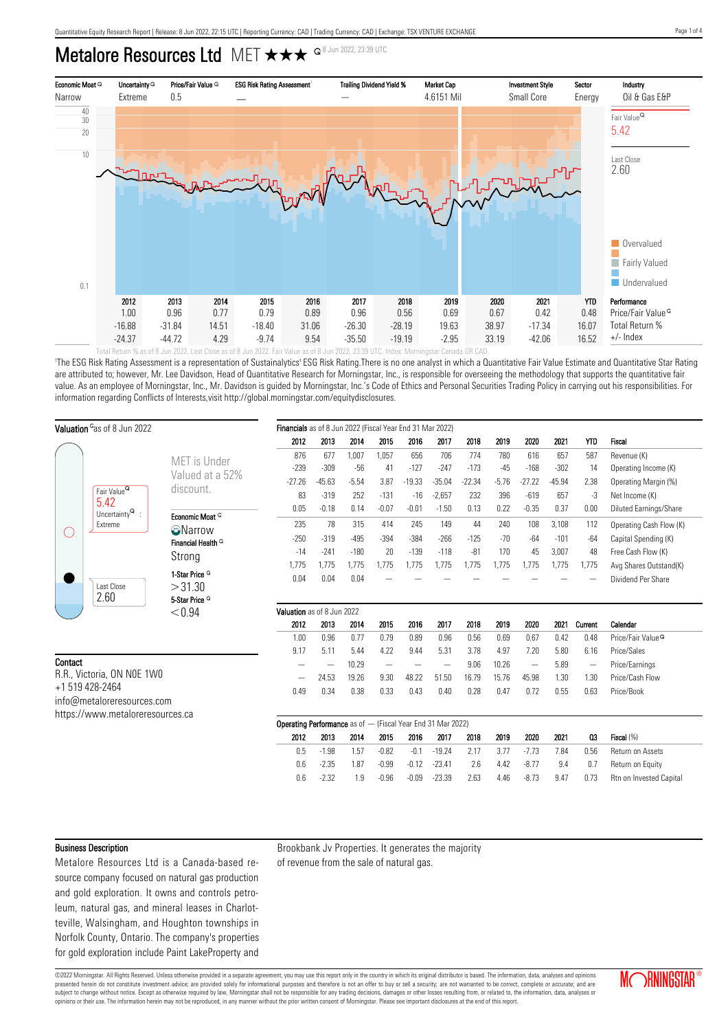## Metalore Resources Ltd MET  $\star\star\star$   $\circ$ <sup>8 Jun 2022, 23:39 UTC</sup>



Total Return % as of 8 Jun 2022. Last Close as of 8 Jun 2022. Fair Value as of 8 Jun 2022, 23:39 UTC. Index: Morningstar Canada GR CAD.

'The ESG Risk Rating Assessment is a representation of Sustainalytics' ESG Risk Rating.There is no one analyst in which a Quantitative Fair Value Estimate and Quantitative Star Rating are attributed to; however, Mr. Lee Davidson, Head of Quantitative Research for Morningstar, Inc., is responsible for overseeing the methodology that supports the quantitative fair value. As an employee of Morningstar, Inc., Mr. Davidson is guided by Morningstar, Inc.'s Code of Ethics and Personal Securities Trading Policy in carrying out his responsibilities. For information regarding Conflicts of Interests,visit http://global.morningstar.com/equitydisclosures.

| Valuation <sup>o</sup> as of 8 Jun 2022 |                                                  |                                              | Financials as of 8 Jun 2022 (Fiscal Year End 31 Mar 2022)   |                          |         |                          |                    |                      |             |              |                    |             |                          |                               |
|-----------------------------------------|--------------------------------------------------|----------------------------------------------|-------------------------------------------------------------|--------------------------|---------|--------------------------|--------------------|----------------------|-------------|--------------|--------------------|-------------|--------------------------|-------------------------------|
|                                         |                                                  |                                              | 2012                                                        | 2013                     | 2014    | 2015                     | 2016               | 2017                 | 2018        | 2019         | 2020               | 2021        | YTD                      | Fiscal                        |
|                                         |                                                  | MET is Under                                 | 876                                                         | 677                      | 1.007   | 1,057                    | 656                | 706                  | 774         | 780          | 616                | 657         | 587                      | Revenue (K)                   |
|                                         |                                                  | Valued at a 52%                              | $-239$                                                      | $-309$                   | $-56$   | 41                       | $-127$             | $-247$               | $-173$      | $-45$        | $-168$             | $-302$      | 14                       | Operating Income (K)          |
|                                         |                                                  |                                              | $-27.26$                                                    | $-45.63$                 | $-5.54$ | 3.87                     | $-19.33$           | $-35.04$             | $-22.34$    | $-5.76$      | $-27.22$           | $-45.94$    | 2.38                     | Operating Margin (%)          |
|                                         | Fair Value <sup>Q</sup>                          | discount.                                    | 83                                                          | $-319$                   | 252     | $-131$                   | $-16$              | $-2,657$             | 232         | 396          | $-619$             | 657         | $-3$                     | Net Income (K)                |
|                                         | 5.42<br>Uncertainty $^{\mathsf{Q}}$ :<br>Extreme |                                              | 0.05                                                        | $-0.18$                  | 0.14    | $-0.07$                  | $-0.01$            | $-1.50$              | 0.13        | 0.22         | $-0.35$            | 0.37        | 0.00                     | Diluted Earnings/Share        |
|                                         |                                                  | Economic Moat <sup>Q</sup><br><b>ONarrow</b> | 235                                                         | 78                       | 315     | 414                      | 245                | 149                  | 44          | 240          | 108                | 3,108       | 112                      | Operating Cash Flow (K)       |
| ( .                                     |                                                  | Financial Health <sup>Q</sup>                | $-250$                                                      | $-319$                   | $-495$  | $-394$                   | $-384$             | $-266$               | $-125$      | $-70$        | $-64$              | $-101$      | $-64$                    | Capital Spending (K)          |
|                                         |                                                  | Strong                                       | $-14$                                                       | $-241$                   | $-180$  | 20                       | $-139$             | $-118$               | $-81$       | 170          | 45                 | 3,007       | 48                       | Free Cash Flow (K)            |
|                                         |                                                  |                                              | 1,775                                                       | 1.775                    | 1,775   | 1,775                    | 1,775              | 1,775                | 1,775       | 1,775        | 1,775              | 1,775       | 1,775                    | Avg Shares Outstand(K)        |
|                                         |                                                  | 1-Star Price <sup>Q</sup>                    | 0.04                                                        | 0.04                     | 0.04    |                          |                    |                      |             |              |                    |             |                          | Dividend Per Share            |
|                                         | Last Close<br>2.60                               | >31.30<br>5-Star Price <sup>Q</sup>          |                                                             |                          |         |                          |                    |                      |             |              |                    |             |                          |                               |
|                                         |                                                  | < 0.94                                       | Valuation as of 8 Jun 2022                                  |                          |         |                          |                    |                      |             |              |                    |             |                          |                               |
|                                         |                                                  |                                              | 2012                                                        | 2013                     | 2014    | 2015                     | 2016               | 2017                 | 2018        | 2019         | 2020               | 2021        | Current                  | Calendar                      |
|                                         |                                                  |                                              | 1.00                                                        | 0.96                     | 0.77    | 0.79                     | 0.89               | 0.96                 | 0.56        | 0.69         | 0.67               | 0.42        | 0.48                     | Price/Fair Value <sup>Q</sup> |
|                                         |                                                  |                                              | 9.17                                                        | 5.11                     | 5.44    | 4.22                     | 9.44               | 5.31                 | 3.78        | 4.97         | 7.20               | 5.80        | 6.16                     | Price/Sales                   |
| Contact                                 |                                                  |                                              | -                                                           | $\overline{\phantom{0}}$ | 10.29   | $\overline{\phantom{m}}$ |                    |                      | 9.06        | 10.26        |                    | 5.89        | $\overline{\phantom{m}}$ | Price/Earnings                |
| R.R., Victoria, ON NOE 1WO              |                                                  |                                              |                                                             | 24.53                    | 19.26   | 9.30                     | 48.22              | 51.50                | 16.79       | 15.76        | 45.98              | 1.30        | 1.30                     | Price/Cash Flow               |
| +1 519 428-2464                         |                                                  |                                              | 0.49                                                        | 0.34                     | 0.38    | 0.33                     | 0.43               | 0.40                 | 0.28        | 0.47         | 0.72               | 0.55        | 0.63                     | Price/Book                    |
|                                         | info@metaloreresources.com                       |                                              |                                                             |                          |         |                          |                    |                      |             |              |                    |             |                          |                               |
|                                         | https://www.metaloreresources.ca                 |                                              |                                                             |                          |         |                          |                    |                      |             |              |                    |             |                          |                               |
|                                         |                                                  |                                              | Operating Performance as of - (Fiscal Year End 31 Mar 2022) |                          |         |                          |                    |                      |             |              |                    |             |                          |                               |
|                                         |                                                  |                                              | 2012                                                        | 2013                     | 2014    | 2015                     | 2016               | 2017                 | 2018        | 2019         | 2020               | 2021        | 03                       | Fiscal (%)                    |
|                                         |                                                  |                                              |                                                             | $-1.98$                  | 1.57    | $-0.82$                  | $-0.1$             | $-19.24$             | 2.17        | 3.77         | $-7.73$            | 7.84        | 0.56                     | Return on Assets              |
|                                         |                                                  |                                              | 0.5                                                         |                          |         |                          |                    |                      |             |              |                    |             |                          |                               |
|                                         |                                                  |                                              | 0.6<br>0.6                                                  | $-2.35$<br>$-2.32$       | 1.87    | $-0.99$<br>$-0.96$       | $-0.12$<br>$-0.09$ | $-23.41$<br>$-23.39$ | 2.6<br>2.63 | 4.42<br>4.46 | $-8.77$<br>$-8.73$ | 9.4<br>9.47 | 0.7<br>0.73              | Return on Equity              |

#### Business Description

Metalore Resources Ltd is a Canada-based resource company focused on natural gas production and gold exploration. It owns and controls petroleum, natural gas, and mineral leases in Charlotteville, Walsingham, and Houghton townships in Norfolk County, Ontario. The company's properties for gold exploration include Paint LakeProperty and Brookbank Jv Properties. It generates the majority of revenue from the sale of natural gas.

©2022 Morningstar. All Rights Reserved. Unless otherwise provided in a separate agreement, you may use this report only in the country in which its original distributor is based. The information, data, analyses and opinions presented herein do not constitute investment advice; are provided solely for informational purposes and therefore is not an offer to buy or sell a security; are not warranted to be correct, complete or accurate; and are subject to change without notice. Except as otherwise required by law, Morningstar shall not be responsible for any trading decisions, damages or other losses resulting from, or related to, the information, data, analyses

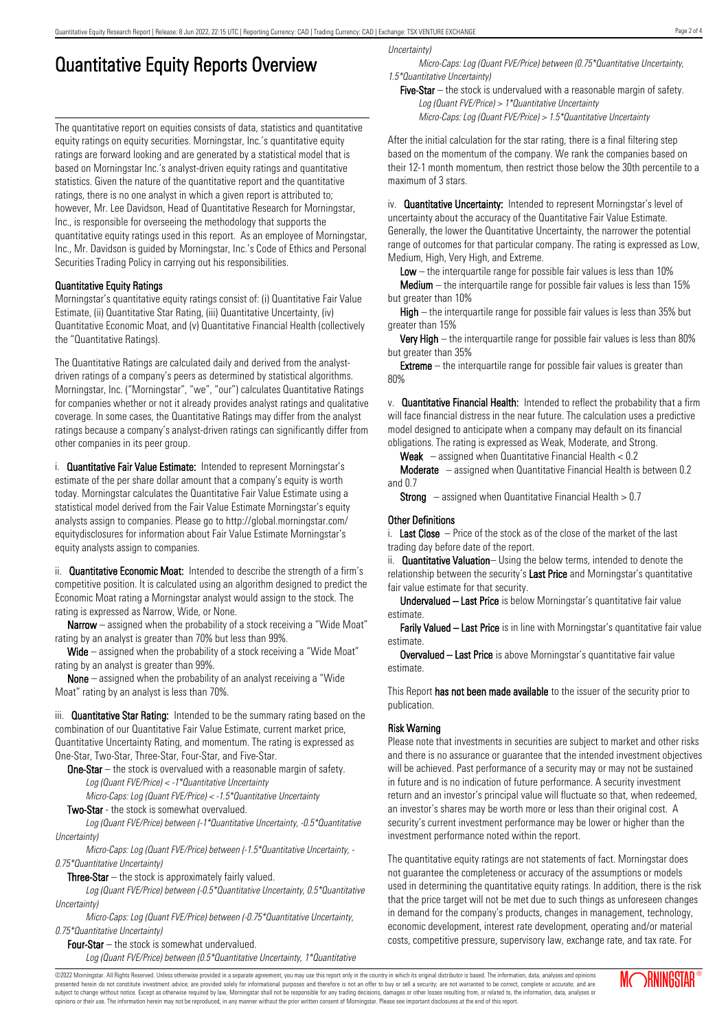# Quantitative Equity Reports Overview

The quantitative report on equities consists of data, statistics and quantitative equity ratings on equity securities. Morningstar, Inc.'s quantitative equity ratings are forward looking and are generated by a statistical model that is based on Morningstar Inc.'s analyst-driven equity ratings and quantitative statistics. Given the nature of the quantitative report and the quantitative ratings, there is no one analyst in which a given report is attributed to; however, Mr. Lee Davidson, Head of Quantitative Research for Morningstar, Inc., is responsible for overseeing the methodology that supports the quantitative equity ratings used in this report. As an employee of Morningstar, Inc., Mr. Davidson is guided by Morningstar, Inc.'s Code of Ethics and Personal Securities Trading Policy in carrying out his responsibilities.

### Quantitative Equity Ratings

Morningstar's quantitative equity ratings consist of: (i) Quantitative Fair Value Estimate, (ii) Quantitative Star Rating, (iii) Quantitative Uncertainty, (iv) Quantitative Economic Moat, and (v) Quantitative Financial Health (collectively the "Quantitative Ratings).

The Quantitative Ratings are calculated daily and derived from the analystdriven ratings of a company's peers as determined by statistical algorithms. Morningstar, Inc. ("Morningstar", "we", "our") calculates Quantitative Ratings for companies whether or not it already provides analyst ratings and qualitative coverage. In some cases, the Quantitative Ratings may differ from the analyst ratings because a company's analyst-driven ratings can significantly differ from other companies in its peer group.

i. **Quantitative Fair Value Estimate:** Intended to represent Morningstar's estimate of the per share dollar amount that a company's equity is worth today. Morningstar calculates the Quantitative Fair Value Estimate using a statistical model derived from the Fair Value Estimate Morningstar's equity analysts assign to companies. Please go to http://global.morningstar.com/ equitydisclosures for information about Fair Value Estimate Morningstar's equity analysts assign to companies.

ii. **Quantitative Economic Moat:** Intended to describe the strength of a firm's competitive position. It is calculated using an algorithm designed to predict the Economic Moat rating a Morningstar analyst would assign to the stock. The rating is expressed as Narrow, Wide, or None.

**Narrow** – assigned when the probability of a stock receiving a "Wide Moat" rating by an analyst is greater than 70% but less than 99%.

Wide – assigned when the probability of a stock receiving a "Wide Moat" rating by an analyst is greater than 99%.

None – assigned when the probability of an analyst receiving a "Wide Moat" rating by an analyst is less than 70%.

iii. **Quantitative Star Rating:** Intended to be the summary rating based on the combination of our Quantitative Fair Value Estimate, current market price, Quantitative Uncertainty Rating, and momentum. The rating is expressed as One-Star, Two-Star, Three-Star, Four-Star, and Five-Star.

**One-Star** – the stock is overvalued with a reasonable margin of safety. Log (Quant FVE/Price) <sup>&</sup>lt; -1\*Quantitative Uncertainty

Micro-Caps: Log (Quant FVE/Price) <sup>&</sup>lt; -1.5\*Quantitative Uncertainty

Two-Star - the stock is somewhat overvalued.

Log (Quant FVE/Price) between (-1\*Quantitative Uncertainty, -0.5\*Quantitative Uncertainty)

Micro-Caps: Log (Quant FVE/Price) between (-1.5\*Quantitative Uncertainty, - 0.75\*Quantitative Uncertainty)

**Three-Star**  $-$  the stock is approximately fairly valued.

Log (Quant FVE/Price) between (-0.5\*Quantitative Uncertainty, 0.5\*Quantitative Uncertainty)

Micro-Caps: Log (Quant FVE/Price) between (-0.75\*Quantitative Uncertainty, 0.75\*Quantitative Uncertainty)

Four-Star – the stock is somewhat undervalued. Log (Quant FVE/Price) between (0.5\*Quantitative Uncertainty, 1\*Quantitative Uncertainty)

Micro-Caps: Log (Quant FVE/Price) between (0.75\*Quantitative Uncertainty, 1.5\*Quantitative Uncertainty)

Five-Star – the stock is undervalued with a reasonable margin of safety. Log (Quant FVE/Price) <sup>&</sup>gt; 1\*Quantitative Uncertainty Micro-Caps: Log (Quant FVE/Price) <sup>&</sup>gt; 1.5\*Quantitative Uncertainty

After the initial calculation for the star rating, there is a final filtering step based on the momentum of the company. We rank the companies based on their 12-1 month momentum, then restrict those below the 30th percentile to a maximum of 3 stars.

iv. **Quantitative Uncertainty:** Intended to represent Morningstar's level of uncertainty about the accuracy of the Quantitative Fair Value Estimate. Generally, the lower the Quantitative Uncertainty, the narrower the potential range of outcomes for that particular company. The rating is expressed as Low, Medium, High, Very High, and Extreme.

Low  $-$  the interguartile range for possible fair values is less than 10%

**Medium** – the interquartile range for possible fair values is less than  $15\%$ but greater than 10%

High – the interquartile range for possible fair values is less than 35% but greater than 15%

Very High – the interquartile range for possible fair values is less than 80% but greater than 35%

**Extreme** – the interquartile range for possible fair values is greater than 80%

v. Quantitative Financial Health: Intended to reflect the probability that a firm will face financial distress in the near future. The calculation uses a predictive model designed to anticipate when a company may default on its financial obligations. The rating is expressed as Weak, Moderate, and Strong.

**Weak**  $-$  assigned when Quantitative Financial Health  $< 0.2$ 

Moderate – assigned when Quantitative Financial Health is between 0.2 and 0.7

**Strong** – assigned when Quantitative Financial Health  $> 0.7$ 

### Other Definitions

i. **Last Close**  $-$  Price of the stock as of the close of the market of the last trading day before date of the report.

ii. **Quantitative Valuation**– Using the below terms, intended to denote the relationship between the security's Last Price and Morningstar's quantitative fair value estimate for that security.

Undervalued – Last Price is below Morningstar's quantitative fair value estimate.

Farily Valued – Last Price is in line with Morningstar's quantitative fair value estimate.

Overvalued – Last Price is above Morningstar's quantitative fair value estimate.

This Report has not been made available to the issuer of the security prior to publication.

### Risk Warning

Please note that investments in securities are subject to market and other risks and there is no assurance or guarantee that the intended investment objectives will be achieved. Past performance of a security may or may not be sustained in future and is no indication of future performance. A security investment return and an investor's principal value will fluctuate so that, when redeemed, an investor's shares may be worth more or less than their original cost. A security's current investment performance may be lower or higher than the investment performance noted within the report.

The quantitative equity ratings are not statements of fact. Morningstar does not guarantee the completeness or accuracy of the assumptions or models used in determining the quantitative equity ratings. In addition, there is the risk that the price target will not be met due to such things as unforeseen changes in demand for the company's products, changes in management, technology, economic development, interest rate development, operating and/or material costs, competitive pressure, supervisory law, exchange rate, and tax rate. For

©2022 Morningstar. All Rights Reserved. Unless otherwise provided in a separate agreement, you may use this report only in the country in which its original distributor is based. The information, data, analyses and opinions presented herein do not constitute investment advice; are provided solely for informational purposes and therefore is not an offer to buy or sell a security; are not warranted to be correct, complete or accurate; and are subject to change without notice. Except as otherwise required by law, Morningstar shall not be responsible for any trading decisions, damages or other losses resulting from, or related to, the information, data, analyses

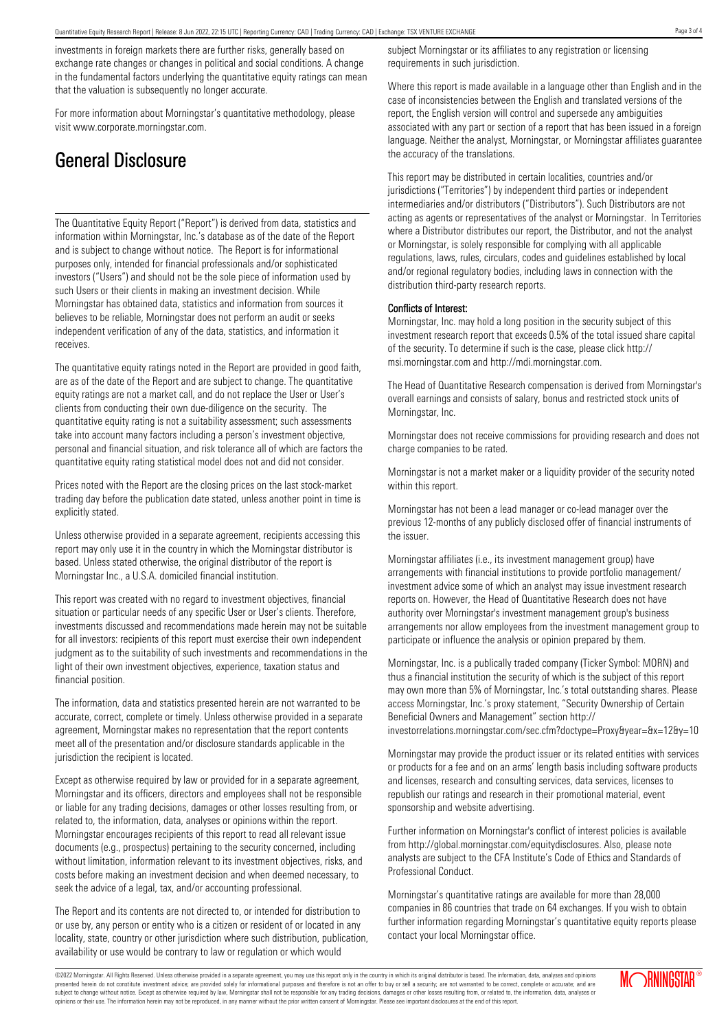investments in foreign markets there are further risks, generally based on exchange rate changes or changes in political and social conditions. A change in the fundamental factors underlying the quantitative equity ratings can mean that the valuation is subsequently no longer accurate.

For more information about Morningstar's quantitative methodology, please visit www.corporate.morningstar.com.

# General Disclosure

The Quantitative Equity Report ("Report") is derived from data, statistics and information within Morningstar, Inc.'s database as of the date of the Report and is subject to change without notice. The Report is for informational purposes only, intended for financial professionals and/or sophisticated investors ("Users") and should not be the sole piece of information used by such Users or their clients in making an investment decision. While Morningstar has obtained data, statistics and information from sources it believes to be reliable, Morningstar does not perform an audit or seeks independent verification of any of the data, statistics, and information it receives.

The quantitative equity ratings noted in the Report are provided in good faith, are as of the date of the Report and are subject to change. The quantitative equity ratings are not a market call, and do not replace the User or User's clients from conducting their own due-diligence on the security. The quantitative equity rating is not a suitability assessment; such assessments take into account many factors including a person's investment objective, personal and financial situation, and risk tolerance all of which are factors the quantitative equity rating statistical model does not and did not consider.

Prices noted with the Report are the closing prices on the last stock-market trading day before the publication date stated, unless another point in time is explicitly stated.

Unless otherwise provided in a separate agreement, recipients accessing this report may only use it in the country in which the Morningstar distributor is based. Unless stated otherwise, the original distributor of the report is Morningstar Inc., a U.S.A. domiciled financial institution.

This report was created with no regard to investment objectives, financial situation or particular needs of any specific User or User's clients. Therefore, investments discussed and recommendations made herein may not be suitable for all investors: recipients of this report must exercise their own independent judgment as to the suitability of such investments and recommendations in the light of their own investment objectives, experience, taxation status and financial position.

The information, data and statistics presented herein are not warranted to be accurate, correct, complete or timely. Unless otherwise provided in a separate agreement, Morningstar makes no representation that the report contents meet all of the presentation and/or disclosure standards applicable in the jurisdiction the recipient is located.

Except as otherwise required by law or provided for in a separate agreement, Morningstar and its officers, directors and employees shall not be responsible or liable for any trading decisions, damages or other losses resulting from, or related to, the information, data, analyses or opinions within the report. Morningstar encourages recipients of this report to read all relevant issue documents (e.g., prospectus) pertaining to the security concerned, including without limitation, information relevant to its investment objectives, risks, and costs before making an investment decision and when deemed necessary, to seek the advice of a legal, tax, and/or accounting professional.

The Report and its contents are not directed to, or intended for distribution to or use by, any person or entity who is a citizen or resident of or located in any locality, state, country or other jurisdiction where such distribution, publication, availability or use would be contrary to law or regulation or which would

subject Morningstar or its affiliates to any registration or licensing requirements in such jurisdiction.

Where this report is made available in a language other than English and in the case of inconsistencies between the English and translated versions of the report, the English version will control and supersede any ambiguities associated with any part or section of a report that has been issued in a foreign language. Neither the analyst, Morningstar, or Morningstar affiliates guarantee the accuracy of the translations.

This report may be distributed in certain localities, countries and/or jurisdictions ("Territories") by independent third parties or independent intermediaries and/or distributors ("Distributors"). Such Distributors are not acting as agents or representatives of the analyst or Morningstar. In Territories where a Distributor distributes our report, the Distributor, and not the analyst or Morningstar, is solely responsible for complying with all applicable regulations, laws, rules, circulars, codes and guidelines established by local and/or regional regulatory bodies, including laws in connection with the distribution third-party research reports.

### Conflicts of Interest:

Morningstar, Inc. may hold a long position in the security subject of this investment research report that exceeds 0.5% of the total issued share capital of the security. To determine if such is the case, please click http:// msi.morningstar.com and http://mdi.morningstar.com.

The Head of Quantitative Research compensation is derived from Morningstar's overall earnings and consists of salary, bonus and restricted stock units of Morningstar, Inc.

Morningstar does not receive commissions for providing research and does not charge companies to be rated.

Morningstar is not a market maker or a liquidity provider of the security noted within this report.

Morningstar has not been a lead manager or co-lead manager over the previous 12-months of any publicly disclosed offer of financial instruments of the issuer.

Morningstar affiliates (i.e., its investment management group) have arrangements with financial institutions to provide portfolio management/ investment advice some of which an analyst may issue investment research reports on. However, the Head of Quantitative Research does not have authority over Morningstar's investment management group's business arrangements nor allow employees from the investment management group to participate or influence the analysis or opinion prepared by them.

Morningstar, Inc. is a publically traded company (Ticker Symbol: MORN) and thus a financial institution the security of which is the subject of this report may own more than 5% of Morningstar, Inc.'s total outstanding shares. Please access Morningstar, Inc.'s proxy statement, "Security Ownership of Certain Beneficial Owners and Management" section http://

investorrelations.morningstar.com/sec.cfm?doctype=Proxy&year=&x=12&y=10

Morningstar may provide the product issuer or its related entities with services or products for a fee and on an arms' length basis including software products and licenses, research and consulting services, data services, licenses to republish our ratings and research in their promotional material, event sponsorship and website advertising.

Further information on Morningstar's conflict of interest policies is available from http://global.morningstar.com/equitydisclosures. Also, please note analysts are subject to the CFA Institute's Code of Ethics and Standards of Professional Conduct.

Morningstar's quantitative ratings are available for more than 28,000 companies in 86 countries that trade on 64 exchanges. If you wish to obtain further information regarding Morningstar's quantitative equity reports please contact your local Morningstar office.

©2022 Morningstar. All Rights Reserved. Unless otherwise provided in a separate agreement, you may use this report only in the country in which its original distributor is based. The information, data, analyses and opinions presented herein do not constitute investment advice; are provided solely for informational purposes and therefore is not an offer to buy or sell a security; are not warranted to be correct, complete or accurate; and are subject to change without notice. Except as otherwise required by law, Morningstar shall not be responsible for any trading decisions, damages or other losses resulting from, or related to, the information, data, analyses